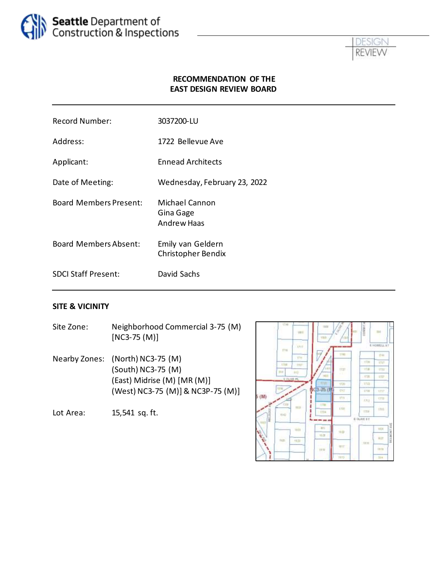



#### **RECOMMENDATION OF THE EAST DESIGN REVIEW BOARD**

| <b>Record Number:</b>         | 3037200-LU                                        |
|-------------------------------|---------------------------------------------------|
| Address:                      | 1722 Bellevue Ave                                 |
| Applicant:                    | <b>Ennead Architects</b>                          |
| Date of Meeting:              | Wednesday, February 23, 2022                      |
| <b>Board Members Present:</b> | Michael Cannon<br>Gina Gage<br><b>Andrew Haas</b> |
| <b>Board Members Absent:</b>  | Emily van Geldern<br>Christopher Bendix           |
| <b>SDCI Staff Present:</b>    | David Sachs                                       |
|                               |                                                   |

#### **SITE & VICINITY**

- Site Zone: Neighborhood Commercial 3-75 (M) [NC3-75 (M)]
- Nearby Zones: (North) NC3-75 (M) (South) NC3-75 (M) (East) Midrise (M) [MR (M)] (West) NC3-75 (M)]& NC3P-75 (M)]

Lot Area: 15,541 sq. ft.

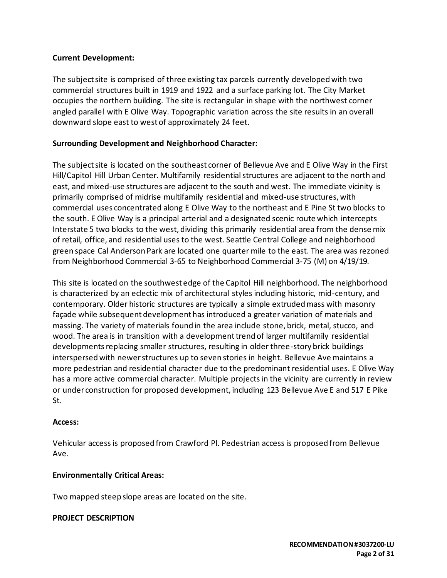#### **Current Development:**

The subject site is comprised of three existing tax parcels currently developed with two commercial structures built in 1919 and 1922 and a surface parking lot. The City Market occupies the northern building. The site is rectangular in shape with the northwest corner angled parallel with E Olive Way. Topographic variation across the site results in an overall downward slope east to west of approximately 24 feet.

### **Surrounding Development and Neighborhood Character:**

The subject site is located on the southeast corner of Bellevue Ave and E Olive Way in the First Hill/Capitol Hill Urban Center. Multifamily residential structures are adjacent to the north and east, and mixed-use structures are adjacent to the south and west. The immediate vicinity is primarily comprised of midrise multifamily residential and mixed-use structures, with commercial uses concentrated along E Olive Way to the northeast and E Pine St two blocks to the south. E Olive Way is a principal arterial and a designated scenic route which intercepts Interstate 5 two blocks to the west, dividing this primarily residential area from the dense mix of retail, office, and residential uses to the west. Seattle Central College and neighborhood green space Cal Anderson Park are located one quarter mile to the east. The area was rezoned from Neighborhood Commercial 3-65 to Neighborhood Commercial 3-75 (M) on 4/19/19.

This site is located on the southwest edge of the Capitol Hill neighborhood. The neighborhood is characterized by an eclectic mix of architectural styles including historic, mid-century, and contemporary. Older historic structures are typically a simple extruded mass with masonry façade while subsequent development has introduced a greater variation of materials and massing. The variety of materials found in the area include stone, brick, metal, stucco, and wood. The area is in transition with a development trend of larger multifamily residential developments replacing smaller structures, resulting in older three-story brick buildings interspersed with newer structures up to seven stories in height. Bellevue Ave maintains a more pedestrian and residential character due to the predominant residential uses. E Olive Way has a more active commercial character. Multiple projects in the vicinity are currently in review or under construction for proposed development, including 123 Bellevue Ave E and 517 E Pike St.

#### **Access:**

Vehicular access is proposed from Crawford Pl. Pedestrian access is proposed from Bellevue Ave.

# **Environmentally Critical Areas:**

Two mapped steep slope areas are located on the site.

#### **PROJECT DESCRIPTION**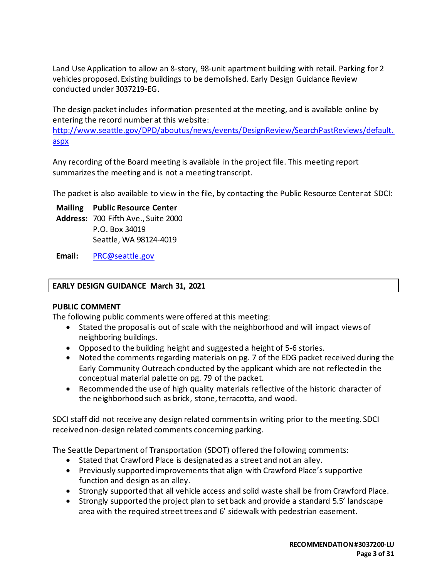Land Use Application to allow an 8-story, 98-unit apartment building with retail. Parking for 2 vehicles proposed. Existing buildings to be demolished. Early Design Guidance Review conducted under 3037219-EG.

The design packet includes information presented at the meeting, and is available online by entering the record number at this website:

[http://www.seattle.gov/DPD/aboutus/news/events/DesignReview/SearchPastReviews/default.](http://www.seattle.gov/DPD/aboutus/news/events/DesignReview/SearchPastReviews/default.aspx) [aspx](http://www.seattle.gov/DPD/aboutus/news/events/DesignReview/SearchPastReviews/default.aspx)

Any recording of the Board meeting is available in the project file. This meeting report summarizes the meeting and is not a meeting transcript.

The packet is also available to view in the file, by contacting the Public Resource Center at SDCI:

**Mailing Public Resource Center Address:** 700 Fifth Ave., Suite 2000 P.O. Box 34019 Seattle, WA 98124-4019

**Email:** [PRC@seattle.gov](mailto:PRC@seattle.gov)

#### **EARLY DESIGN GUIDANCE March 31, 2021**

#### **PUBLIC COMMENT**

The following public comments were offered at this meeting:

- Stated the proposal is out of scale with the neighborhood and will impact views of neighboring buildings.
- Opposed to the building height and suggested a height of 5-6 stories.
- Noted the comments regarding materials on pg. 7 of the EDG packet received during the Early Community Outreach conducted by the applicant which are not reflected in the conceptual material palette on pg. 79 of the packet.
- Recommended the use of high quality materials reflective of the historic character of the neighborhood such as brick, stone, terracotta, and wood.

SDCI staff did not receive any design related comments in writing prior to the meeting. SDCI received non-design related comments concerning parking.

The Seattle Department of Transportation (SDOT) offered the following comments:

- Stated that Crawford Place is designated as a street and not an alley.
- Previously supported improvements that align with Crawford Place's supportive function and design as an alley.
- Strongly supported that all vehicle access and solid waste shall be from Crawford Place.
- Strongly supported the project plan to set back and provide a standard 5.5' landscape area with the required street trees and 6' sidewalk with pedestrian easement.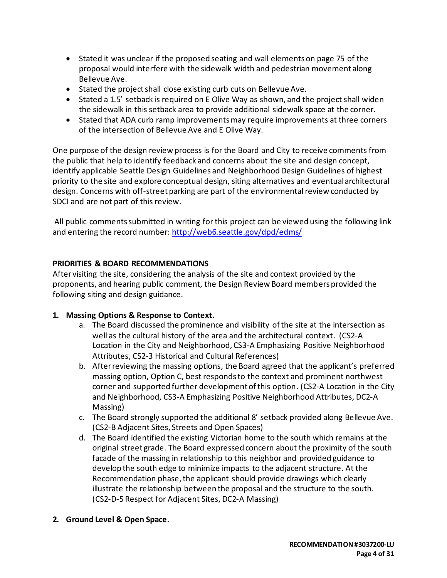- Stated it was unclear if the proposed seating and wall elements on page 75 of the proposal would interfere with the sidewalk width and pedestrian movement along Bellevue Ave.
- Stated the project shall close existing curb cuts on Bellevue Ave.
- Stated a 1.5' setback is required on E Olive Way as shown, and the project shall widen the sidewalk in this setback area to provide additional sidewalk space at the corner.
- Stated that ADA curb ramp improvements may require improvements at three corners of the intersection of Bellevue Ave and E Olive Way.

One purpose of the design review process is for the Board and City to receive comments from the public that help to identify feedback and concerns about the site and design concept, identify applicable Seattle Design Guidelines and Neighborhood Design Guidelines of highest priority to the site and explore conceptual design, siting alternatives and eventual architectural design. Concerns with off-street parking are part of the environmental review conducted by SDCI and are not part of this review.

All public comments submitted in writing for this project can be viewed using the following link and entering the record number:<http://web6.seattle.gov/dpd/edms/>

#### **PRIORITIES & BOARD RECOMMENDATIONS**

After visiting the site, considering the analysis of the site and context provided by the proponents, and hearing public comment, the Design Review Board members provided the following siting and design guidance.

# **1. Massing Options & Response to Context.**

- a. The Board discussed the prominence and visibility of the site at the intersection as well as the cultural history of the area and the architectural context. (CS2-A Location in the City and Neighborhood, CS3-A Emphasizing Positive Neighborhood Attributes, CS2-3 Historical and Cultural References)
- b. After reviewing the massing options, the Board agreed that the applicant's preferred massing option, Option C, best responds to the context and prominent northwest corner and supported further development of this option. (CS2-A Location in the City and Neighborhood, CS3-A Emphasizing Positive Neighborhood Attributes, DC2-A Massing)
- c. The Board strongly supported the additional 8' setback provided along Bellevue Ave. (CS2-B Adjacent Sites, Streets and Open Spaces)
- d. The Board identified the existing Victorian home to the south which remains at the original street grade. The Board expressed concern about the proximity of the south facade of the massing in relationship to this neighbor and provided guidance to develop the south edge to minimize impacts to the adjacent structure. At the Recommendation phase, the applicant should provide drawings which clearly illustrate the relationship between the proposal and the structure to the south. (CS2-D-5 Respect for Adjacent Sites, DC2-A Massing)
- **2. Ground Level & Open Space**.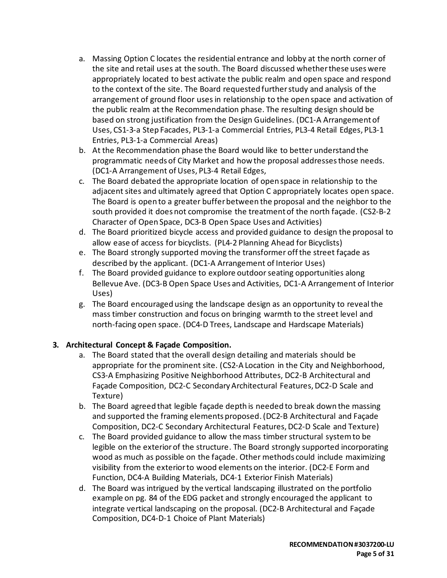- a. Massing Option C locates the residential entrance and lobby at the north corner of the site and retail uses at the south. The Board discussed whether these uses were appropriately located to best activate the public realm and open space and respond to the context of the site. The Board requested further study and analysis of the arrangement of ground floor uses in relationship to the open space and activation of the public realm at the Recommendation phase. The resulting design should be based on strong justification from the Design Guidelines. (DC1-A Arrangement of Uses, CS1-3-a Step Facades, PL3-1-a Commercial Entries, PL3-4 Retail Edges, PL3-1 Entries, PL3-1-a Commercial Areas)
- b. At the Recommendation phase the Board would like to better understand the programmatic needs of City Market and how the proposal addresses those needs. (DC1-A Arrangement of Uses, PL3-4 Retail Edges,
- c. The Board debated the appropriate location of open space in relationship to the adjacent sites and ultimately agreed that Option C appropriately locates open space. The Board is open to a greater buffer between the proposal and the neighbor to the south provided it does not compromise the treatment of the north façade. (CS2-B-2 Character of Open Space, DC3-B Open Space Uses and Activities)
- d. The Board prioritized bicycle access and provided guidance to design the proposal to allow ease of access for bicyclists. (PL4-2 Planning Ahead for Bicyclists)
- e. The Board strongly supported moving the transformer off the street façade as described by the applicant. (DC1-A Arrangement of Interior Uses)
- f. The Board provided guidance to explore outdoor seating opportunities along Bellevue Ave. (DC3-B Open Space Uses and Activities, DC1-A Arrangement of Interior Uses)
- g. The Board encouraged using the landscape design as an opportunity to reveal the mass timber construction and focus on bringing warmth to the street level and north-facing open space. (DC4-D Trees, Landscape and Hardscape Materials)

# **3. Architectural Concept & Façade Composition.**

- a. The Board stated that the overall design detailing and materials should be appropriate for the prominent site. (CS2-A Location in the City and Neighborhood, CS3-A Emphasizing Positive Neighborhood Attributes, DC2-B Architectural and Façade Composition, DC2-C Secondary Architectural Features, DC2-D Scale and Texture)
- b. The Board agreed that legible façade depth is needed to break down the massing and supported the framing elements proposed. (DC2-B Architectural and Façade Composition, DC2-C Secondary Architectural Features, DC2-D Scale and Texture)
- c. The Board provided guidance to allow the mass timber structural system to be legible on the exterior of the structure. The Board strongly supported incorporating wood as much as possible on the façade. Other methods could include maximizing visibility from the exterior to wood elements on the interior. (DC2-E Form and Function, DC4-A Building Materials, DC4-1 Exterior Finish Materials)
- d. The Board was intrigued by the vertical landscaping illustrated on the portfolio example on pg. 84 of the EDG packet and strongly encouraged the applicant to integrate vertical landscaping on the proposal. (DC2-B Architectural and Façade Composition, DC4-D-1 Choice of Plant Materials)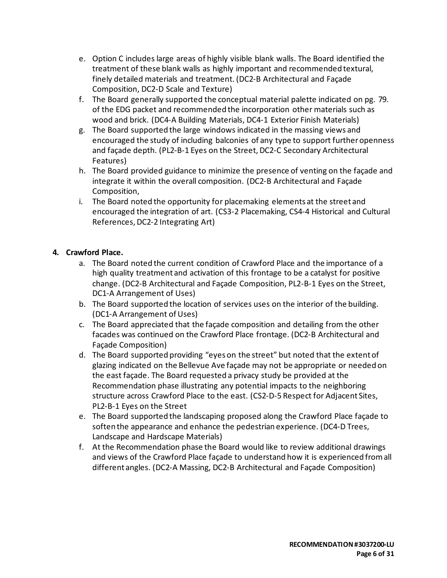- e. Option C includes large areas of highly visible blank walls. The Board identified the treatment of these blank walls as highly important and recommended textural, finely detailed materials and treatment. (DC2-B Architectural and Façade Composition, DC2-D Scale and Texture)
- f. The Board generally supported the conceptual material palette indicated on pg. 79. of the EDG packet and recommended the incorporation other materials such as wood and brick. (DC4-A Building Materials, DC4-1 Exterior Finish Materials)
- g. The Board supported the large windows indicated in the massing views and encouraged the study of including balconies of any type to support further openness and façade depth. (PL2-B-1 Eyes on the Street, DC2-C Secondary Architectural Features)
- h. The Board provided guidance to minimize the presence of venting on the façade and integrate it within the overall composition. (DC2-B Architectural and Façade Composition,
- i. The Board noted the opportunity for placemaking elements at the street and encouraged the integration of art. (CS3-2 Placemaking, CS4-4 Historical and Cultural References, DC2-2 Integrating Art)

# **4. Crawford Place.**

- a. The Board noted the current condition of Crawford Place and the importance of a high quality treatment and activation of this frontage to be a catalyst for positive change. (DC2-B Architectural and Façade Composition, PL2-B-1 Eyes on the Street, DC1-A Arrangement of Uses)
- b. The Board supported the location of services uses on the interior of the building. (DC1-A Arrangement of Uses)
- c. The Board appreciated that the façade composition and detailing from the other facades was continued on the Crawford Place frontage. (DC2-B Architectural and Façade Composition)
- d. The Board supported providing "eyes on the street" but noted that the extent of glazing indicated on the Bellevue Ave façade may not be appropriate or needed on the east façade. The Board requested a privacy study be provided at the Recommendation phase illustrating any potential impacts to the neighboring structure across Crawford Place to the east. (CS2-D-5 Respect for Adjacent Sites, PL2-B-1 Eyes on the Street
- e. The Board supported the landscaping proposed along the Crawford Place façade to soften the appearance and enhance the pedestrian experience. (DC4-D Trees, Landscape and Hardscape Materials)
- f. At the Recommendation phase the Board would like to review additional drawings and views of the Crawford Place façade to understand how it is experienced from all different angles. (DC2-A Massing, DC2-B Architectural and Façade Composition)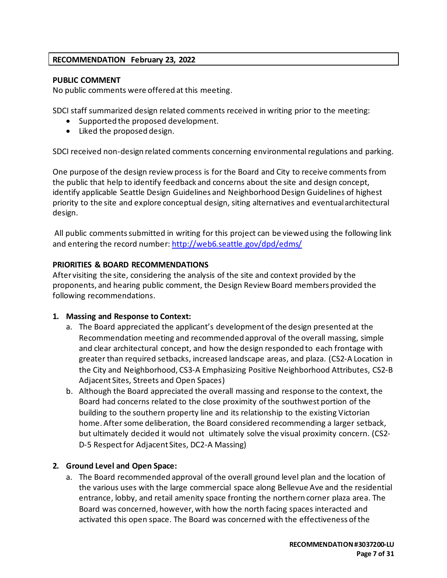# **RECOMMENDATION February 23, 2022**

#### **PUBLIC COMMENT**

No public comments were offered at this meeting.

SDCI staff summarized design related comments received in writing prior to the meeting:

- Supported the proposed development.
- Liked the proposed design.

SDCI received non-design related comments concerning environmental regulations and parking.

One purpose of the design review process is for the Board and City to receive comments from the public that help to identify feedback and concerns about the site and design concept, identify applicable Seattle Design Guidelines and Neighborhood Design Guidelines of highest priority to the site and explore conceptual design, siting alternatives and eventual architectural design.

All public commentssubmitted in writing for this project can be viewed using the following link and entering the record number[: http://web6.seattle.gov/dpd/edms/](http://web6.seattle.gov/dpd/edms/)

# **PRIORITIES & BOARD RECOMMENDATIONS**

After visiting the site, considering the analysis of the site and context provided by the proponents, and hearing public comment, the Design Review Board members provided the following recommendations.

#### **1. Massing and Response to Context:**

- a. The Board appreciated the applicant's development of the design presented at the Recommendation meeting and recommended approval of the overall massing, simple and clear architectural concept, and how the design responded to each frontage with greater than required setbacks, increased landscape areas, and plaza. (CS2-A Location in the City and Neighborhood, CS3-A Emphasizing Positive Neighborhood Attributes, CS2-B Adjacent Sites, Streets and Open Spaces)
- b. Although the Board appreciated the overall massing and response to the context, the Board had concerns related to the close proximity of the southwest portion of the building to the southern property line and its relationship to the existing Victorian home. After some deliberation, the Board considered recommending a larger setback, but ultimately decided it would not ultimately solve the visual proximity concern. (CS2- D-5 Respect for Adjacent Sites, DC2-A Massing)

# **2. Ground Level and Open Space:**

a. The Board recommended approval of the overall ground level plan and the location of the various uses with the large commercial space along Bellevue Ave and the residential entrance, lobby, and retail amenity space fronting the northern corner plaza area. The Board was concerned, however, with how the north facing spaces interacted and activated this open space. The Board was concerned with the effectiveness ofthe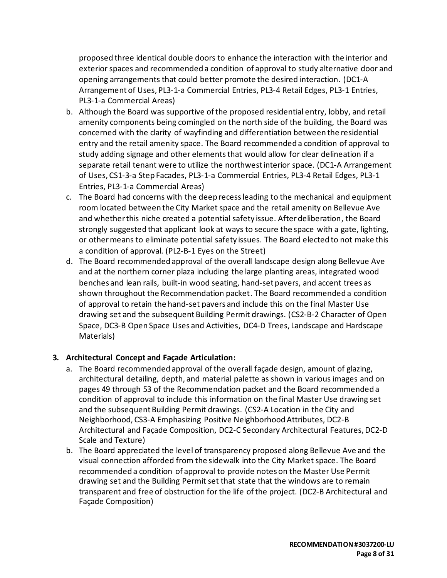proposed three identical double doors to enhance the interaction with the interior and exterior spaces and recommended a condition of approval to study alternative door and opening arrangements that could better promote the desired interaction. (DC1-A Arrangement of Uses, PL3-1-a Commercial Entries, PL3-4 Retail Edges, PL3-1 Entries, PL3-1-a Commercial Areas)

- b. Although the Board was supportive of the proposed residential entry, lobby, and retail amenity components being comingled on the north side of the building, the Board was concerned with the clarity of wayfinding and differentiation between the residential entry and the retail amenity space. The Board recommended a condition of approval to study adding signage and other elements that would allow for clear delineation if a separate retail tenant were to utilize the northwest interior space. (DC1-A Arrangement of Uses, CS1-3-a Step Facades, PL3-1-a Commercial Entries, PL3-4 Retail Edges, PL3-1 Entries, PL3-1-a Commercial Areas)
- c. The Board had concerns with the deep recess leading to the mechanical and equipment room located between the City Market space and the retail amenity on Bellevue Ave and whether this niche created a potential safety issue. After deliberation, the Board strongly suggested that applicant look at ways to secure the space with a gate, lighting, or other means to eliminate potential safety issues. The Board elected to not make this a condition of approval. (PL2-B-1 Eyes on the Street)
- d. The Board recommended approval of the overall landscape design along Bellevue Ave and at the northern corner plaza including the large planting areas, integrated wood benches and lean rails, built-in wood seating, hand-set pavers, and accent trees as shown throughout the Recommendation packet. The Board recommended a condition of approval to retain the hand-set pavers and include this on the final Master Use drawing set and the subsequent Building Permit drawings. (CS2-B-2 Character of Open Space, DC3-B Open Space Uses and Activities, DC4-D Trees, Landscape and Hardscape Materials)

# **3. Architectural Concept and Façade Articulation:**

- a. The Board recommended approval of the overall façade design, amount of glazing, architectural detailing, depth, and material palette as shown in various images and on pages 49 through 53 of the Recommendation packet and the Board recommended a condition of approval to include this information on the final Master Use drawing set and the subsequent Building Permit drawings. (CS2-A Location in the City and Neighborhood, CS3-A Emphasizing Positive Neighborhood Attributes, DC2-B Architectural and Façade Composition, DC2-C Secondary Architectural Features, DC2-D Scale and Texture)
- b. The Board appreciated the level of transparency proposed along Bellevue Ave and the visual connection afforded from the sidewalk into the City Market space. The Board recommended a condition of approval to provide notes on the Master Use Permit drawing set and the Building Permit set that state that the windows are to remain transparent and free of obstruction for the life of the project. (DC2-B Architectural and Façade Composition)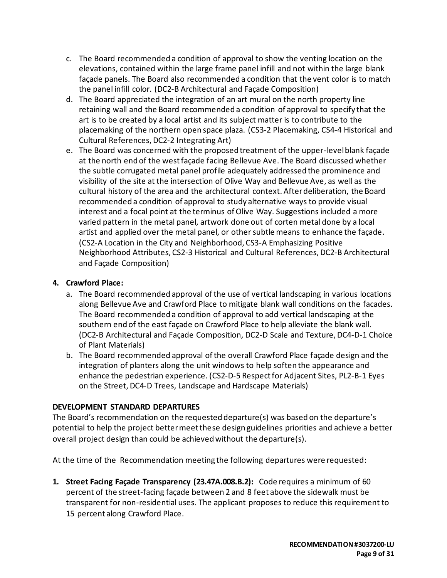- c. The Board recommended a condition of approval to show the venting location on the elevations, contained within the large frame panel infill and not within the large blank façade panels. The Board also recommended a condition that the vent color is to match the panel infill color. (DC2-B Architectural and Façade Composition)
- d. The Board appreciated the integration of an art mural on the north property line retaining wall and the Board recommended a condition of approval to specify that the art is to be created by a local artist and its subject matter is to contribute to the placemaking of the northern open space plaza. (CS3-2 Placemaking, CS4-4 Historical and Cultural References, DC2-2 Integrating Art)
- e. The Board was concerned with the proposed treatment of the upper-level blank façade at the north end of the west façade facing Bellevue Ave. The Board discussed whether the subtle corrugated metal panel profile adequately addressed the prominence and visibility of the site at the intersection of Olive Way and Bellevue Ave, as well as the cultural history of the area and the architectural context. After deliberation, the Board recommended a condition of approval to study alternative ways to provide visual interest and a focal point at the terminus of Olive Way. Suggestions included a more varied pattern in the metal panel, artwork done out of corten metal done by a local artist and applied over the metal panel, or other subtle means to enhance the façade. (CS2-A Location in the City and Neighborhood, CS3-A Emphasizing Positive Neighborhood Attributes, CS2-3 Historical and Cultural References, DC2-B Architectural and Façade Composition)

#### **4. Crawford Place:**

- a. The Board recommended approval of the use of vertical landscaping in various locations along Bellevue Ave and Crawford Place to mitigate blank wall conditions on the facades. The Board recommended a condition of approval to add vertical landscaping at the southern end of the east façade on Crawford Place to help alleviate the blank wall. (DC2-B Architectural and Façade Composition, DC2-D Scale and Texture, DC4-D-1 Choice of Plant Materials)
- b. The Board recommended approval of the overall Crawford Place façade design and the integration of planters along the unit windows to help soften the appearance and enhance the pedestrian experience. (CS2-D-5 Respect for Adjacent Sites, PL2-B-1 Eyes on the Street, DC4-D Trees, Landscape and Hardscape Materials)

#### **DEVELOPMENT STANDARD DEPARTURES**

The Board's recommendation on the requested departure(s) was based on the departure's potential to help the project better meet these design guidelines priorities and achieve a better overall project design than could be achieved without the departure(s).

At the time of the Recommendation meeting the following departures were requested:

**1. Street Facing Façade Transparency (23.47A.008.B.2):** Code requires a minimum of 60 percent of the street-facing façade between 2 and 8 feet above the sidewalk must be transparent for non-residential uses. The applicant proposes to reduce this requirement to 15 percent along Crawford Place.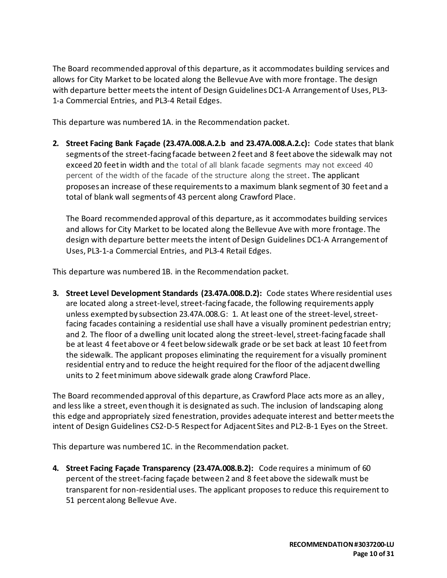The Board recommended approval of this departure, as it accommodates building services and allows for City Market to be located along the Bellevue Ave with more frontage. The design with departure better meets the intent of Design Guidelines DC1-A Arrangement of Uses, PL3- 1-a Commercial Entries, and PL3-4 Retail Edges.

This departure was numbered 1A. in the Recommendation packet.

**2. Street Facing Bank Façade (23.47A.008.A.2.b and 23.47A.008.A.2.c):** Code states that blank segments of the street-facing facade between 2 feet and 8 feet above the sidewalk may not exceed 20 feet in width and the total of all blank facade segments may not exceed 40 percent of the width of the facade of the structure along the street. The applicant proposes an increase of these requirements to a maximum blank segment of 30 feet and a total of blank wall segments of 43 percent along Crawford Place.

The Board recommended approval of this departure, as it accommodates building services and allows for City Market to be located along the Bellevue Ave with more frontage. The design with departure better meets the intent of Design Guidelines DC1-A Arrangement of Uses, PL3-1-a Commercial Entries, and PL3-4 Retail Edges.

This departure was numbered 1B. in the Recommendation packet.

**3. Street Level Development Standards (23.47A.008.D.2):** Code states Where residential uses are located along a street-level, street-facing facade, the following requirements apply unless exempted by subsection 23.47A.008.G: 1. At least one of the street-level, streetfacing facades containing a residential use shall have a visually prominent pedestrian entry; and 2. The floor of a dwelling unit located along the street-level, street-facing facade shall be at least 4 feet above or 4 feet below sidewalk grade or be set back at least 10 feet from the sidewalk. The applicant proposes eliminating the requirement for a visually prominent residential entry and to reduce the height required for the floor of the adjacent dwelling units to 2 feet minimum above sidewalk grade along Crawford Place.

The Board recommended approval of this departure, as Crawford Place acts more as an alley, and less like a street, even though it is designated as such. The inclusion of landscaping along this edge and appropriately sized fenestration, provides adequate interest and better meets the intent of Design Guidelines CS2-D-5 Respect for Adjacent Sites and PL2-B-1 Eyes on the Street.

This departure was numbered 1C. in the Recommendation packet.

**4. Street Facing Façade Transparency (23.47A.008.B.2):** Code requires a minimum of 60 percent of the street-facing façade between 2 and 8 feet above the sidewalk must be transparent for non-residential uses. The applicant proposes to reduce this requirement to 51 percent along Bellevue Ave.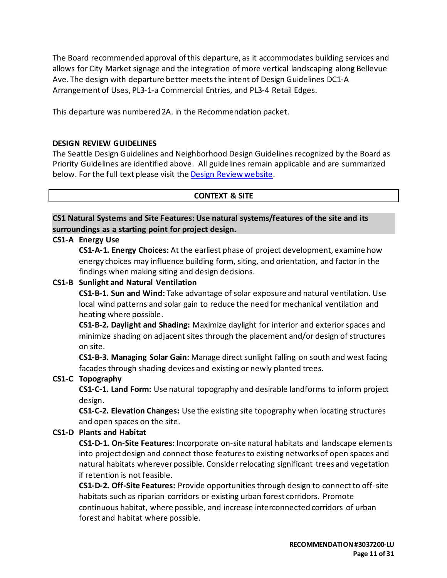The Board recommended approval of this departure, as it accommodates building services and allows for City Market signage and the integration of more vertical landscaping along Bellevue Ave. The design with departure better meets the intent of Design Guidelines DC1-A Arrangement of Uses, PL3-1-a Commercial Entries, and PL3-4 Retail Edges.

This departure was numbered 2A. in the Recommendation packet.

#### **DESIGN REVIEW GUIDELINES**

The Seattle Design Guidelines and Neighborhood Design Guidelines recognized by the Board as Priority Guidelines are identified above. All guidelines remain applicable and are summarized below. For the full text please visit the [Design Review website.](https://www.seattle.gov/dpd/aboutus/whoweare/designreview/designguidelines/default.htm)

#### **CONTEXT & SITE**

**CS1 Natural Systems and Site Features: Use natural systems/features of the site and its surroundings as a starting point for project design.**

#### **CS1-A Energy Use**

**CS1-A-1. Energy Choices:** At the earliest phase of project development, examine how energy choices may influence building form, siting, and orientation, and factor in the findings when making siting and design decisions.

#### **CS1-B Sunlight and Natural Ventilation**

**CS1-B-1. Sun and Wind:** Take advantage of solar exposure and natural ventilation. Use local wind patterns and solar gain to reduce the need for mechanical ventilation and heating where possible.

**CS1-B-2. Daylight and Shading:** Maximize daylight for interior and exterior spaces and minimize shading on adjacent sites through the placement and/or design of structures on site.

**CS1-B-3. Managing Solar Gain:** Manage direct sunlight falling on south and west facing facades through shading devices and existing or newly planted trees.

#### **CS1-C Topography**

**CS1-C-1. Land Form:** Use natural topography and desirable landforms to inform project design.

**CS1-C-2. Elevation Changes:** Use the existing site topography when locating structures and open spaces on the site.

#### **CS1-D Plants and Habitat**

**CS1-D-1. On-Site Features:** Incorporate on-site natural habitats and landscape elements into project design and connect those features to existing networks of open spaces and natural habitats wherever possible. Consider relocating significant trees and vegetation if retention is not feasible.

**CS1-D-2. Off-Site Features:** Provide opportunities through design to connect to off-site habitats such as riparian corridors or existing urban forest corridors. Promote continuous habitat, where possible, and increase interconnected corridors of urban forest and habitat where possible.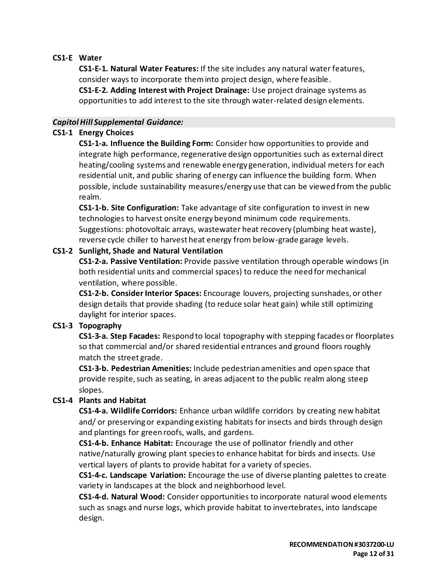# **CS1-E Water**

**CS1-E-1. Natural Water Features:** If the site includes any natural water features, consider ways to incorporate them into project design, where feasible.

**CS1-E-2. Adding Interest with Project Drainage:** Use project drainage systems as opportunities to add interest to the site through water-related design elements.

# *Capitol Hill Supplemental Guidance:*

# **CS1-1 Energy Choices**

**CS1-1-a. Influence the Building Form:** Consider how opportunities to provide and integrate high performance, regenerative design opportunities such as external direct heating/cooling systems and renewable energy generation, individual meters for each residential unit, and public sharing of energy can influence the building form. When possible, include sustainability measures/energy use that can be viewed from the public realm.

**CS1-1-b. Site Configuration:** Take advantage of site configuration to invest in new technologies to harvest onsite energy beyond minimum code requirements. Suggestions: photovoltaic arrays, wastewater heat recovery (plumbing heat waste), reverse cycle chiller to harvest heat energy from below-grade garage levels.

# **CS1-2 Sunlight, Shade and Natural Ventilation**

**CS1-2-a. Passive Ventilation:** Provide passive ventilation through operable windows (in both residential units and commercial spaces) to reduce the need for mechanical ventilation, where possible.

**CS1-2-b. Consider Interior Spaces:** Encourage louvers, projecting sunshades, or other design details that provide shading (to reduce solar heat gain) while still optimizing daylight for interior spaces.

# **CS1-3 Topography**

**CS1-3-a. Step Facades:** Respond to local topography with stepping facades or floorplates so that commercial and/or shared residential entrances and ground floors roughly match the street grade.

**CS1-3-b. Pedestrian Amenities:** Include pedestrian amenities and open space that provide respite, such as seating, in areas adjacent to the public realm along steep slopes.

# **CS1-4 Plants and Habitat**

**CS1-4-a. Wildlife Corridors:** Enhance urban wildlife corridors by creating new habitat and/ or preserving or expanding existing habitats for insects and birds through design and plantings for green roofs, walls, and gardens.

**CS1-4-b. Enhance Habitat:** Encourage the use of pollinator friendly and other native/naturally growing plant species to enhance habitat for birds and insects. Use vertical layers of plants to provide habitat for a variety of species.

**CS1-4-c. Landscape Variation:** Encourage the use of diverse planting palettes to create variety in landscapes at the block and neighborhood level.

**CS1-4-d. Natural Wood:** Consider opportunities to incorporate natural wood elements such as snags and nurse logs, which provide habitat to invertebrates, into landscape design.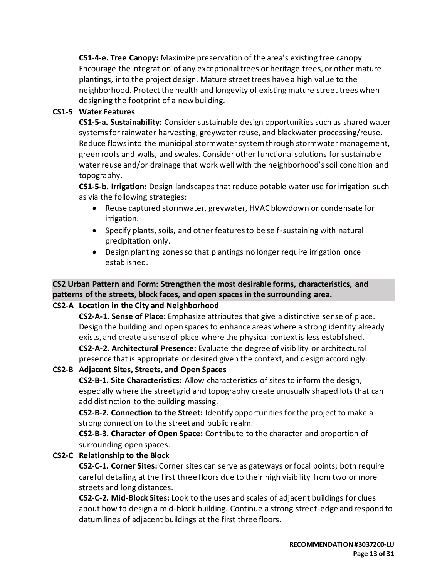**CS1-4-e. Tree Canopy:** Maximize preservation of the area's existing tree canopy. Encourage the integration of any exceptional trees or heritage trees, or other mature plantings, into the project design. Mature street trees have a high value to the neighborhood. Protect the health and longevity of existing mature street trees when designing the footprint of a new building.

### **CS1-5 Water Features**

**CS1-5-a. Sustainability:** Consider sustainable design opportunities such as shared water systems for rainwater harvesting, greywater reuse, and blackwater processing/reuse. Reduce flows into the municipal stormwater system through stormwater management, green roofs and walls, and swales. Consider other functional solutions for sustainable water reuse and/or drainage that work well with the neighborhood's soil condition and topography.

**CS1-5-b. Irrigation:** Design landscapes that reduce potable water use for irrigation such as via the following strategies:

- Reuse captured stormwater, greywater, HVAC blowdown or condensate for irrigation.
- Specify plants, soils, and other features to be self-sustaining with natural precipitation only.
- Design planting zones so that plantings no longer require irrigation once established.

# **CS2 Urban Pattern and Form: Strengthen the most desirable forms, characteristics, and patterns of the streets, block faces, and open spaces in the surrounding area.**

# **CS2-A Location in the City and Neighborhood**

**CS2-A-1. Sense of Place:** Emphasize attributes that give a distinctive sense of place. Design the building and open spaces to enhance areas where a strong identity already exists, and create a sense of place where the physical context is less established.

**CS2-A-2. Architectural Presence:** Evaluate the degree of visibility or architectural presence that is appropriate or desired given the context, and design accordingly.

# **CS2-B Adjacent Sites, Streets, and Open Spaces**

**CS2-B-1. Site Characteristics:** Allow characteristics of sites to inform the design, especially where the street grid and topography create unusually shaped lots that can add distinction to the building massing.

**CS2-B-2. Connection to the Street:** Identify opportunities for the project to make a strong connection to the street and public realm.

**CS2-B-3. Character of Open Space:** Contribute to the character and proportion of surrounding open spaces.

# **CS2-C Relationship to the Block**

**CS2-C-1. Corner Sites:** Corner sites can serve as gateways or focal points; both require careful detailing at the first three floors due to their high visibility from two or more streets and long distances.

**CS2-C-2. Mid-Block Sites:** Look to the uses and scales of adjacent buildings for clues about how to design a mid-block building. Continue a strong street-edge and respond to datum lines of adjacent buildings at the first three floors.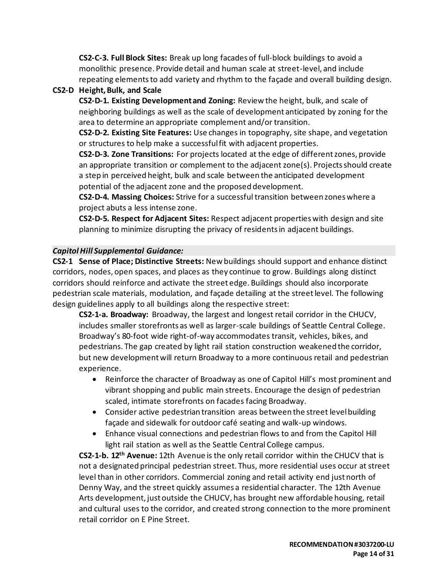**CS2-C-3. Full Block Sites:** Break up long facades of full-block buildings to avoid a monolithic presence. Provide detail and human scale at street-level, and include repeating elements to add variety and rhythm to the façade and overall building design.

# **CS2-D Height, Bulk, and Scale**

**CS2-D-1. Existing Development and Zoning:** Review the height, bulk, and scale of neighboring buildings as well as the scale of development anticipated by zoning for the area to determine an appropriate complement and/or transition.

**CS2-D-2. Existing Site Features:** Use changes in topography, site shape, and vegetation or structures to help make a successful fit with adjacent properties.

**CS2-D-3. Zone Transitions:** For projects located at the edge of different zones, provide an appropriate transition or complement to the adjacent zone(s). Projects should create a step in perceived height, bulk and scale between the anticipated development potential of the adjacent zone and the proposed development.

**CS2-D-4. Massing Choices:** Strive for a successful transition between zones where a project abuts a less intense zone.

**CS2-D-5. Respect for Adjacent Sites:** Respect adjacent properties with design and site planning to minimize disrupting the privacy of residents in adjacent buildings.

# *Capitol Hill Supplemental Guidance:*

**CS2-1 Sense of Place; Distinctive Streets:** New buildings should support and enhance distinct corridors, nodes, open spaces, and places as they continue to grow. Buildings along distinct corridors should reinforce and activate the street edge. Buildings should also incorporate pedestrian scale materials, modulation, and façade detailing at the street level. The following design guidelines apply to all buildings along the respective street:

**CS2-1-a. Broadway:** Broadway, the largest and longest retail corridor in the CHUCV, includes smaller storefronts as well as larger-scale buildings of Seattle Central College. Broadway's 80-foot wide right-of-way accommodates transit, vehicles, bikes, and pedestrians. The gap created by light rail station construction weakened the corridor, but new development will return Broadway to a more continuous retail and pedestrian experience.

- Reinforce the character of Broadway as one of Capitol Hill's most prominent and vibrant shopping and public main streets. Encourage the design of pedestrian scaled, intimate storefronts on facades facing Broadway.
- Consider active pedestrian transition areas between the street level building façade and sidewalk for outdoor café seating and walk-up windows.
- Enhance visual connections and pedestrian flows to and from the Capitol Hill light rail station as well as the Seattle Central College campus.

**CS2-1-b. 12th Avenue:** 12th Avenue is the only retail corridor within the CHUCV that is not a designated principal pedestrian street. Thus, more residential uses occur at street level than in other corridors. Commercial zoning and retail activity end just north of Denny Way, and the street quickly assumes a residential character. The 12th Avenue Arts development, just outside the CHUCV, has brought new affordable housing, retail and cultural uses to the corridor, and created strong connection to the more prominent retail corridor on E Pine Street.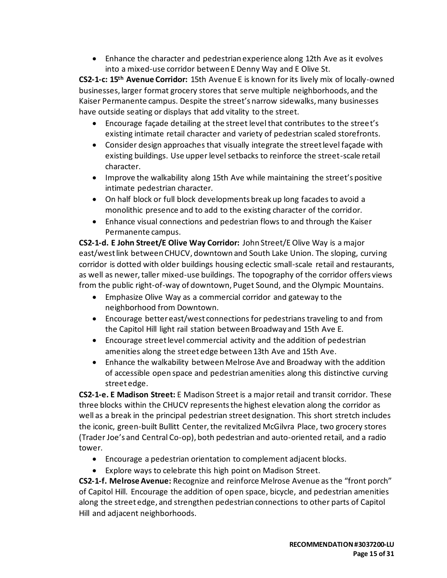• Enhance the character and pedestrian experience along 12th Ave as it evolves into a mixed-use corridor between E Denny Way and E Olive St.

**CS2-1-c: 15th Avenue Corridor:** 15th Avenue E is known for its lively mix of locally-owned businesses, larger format grocery stores that serve multiple neighborhoods, and the Kaiser Permanente campus. Despite the street's narrow sidewalks, many businesses have outside seating or displays that add vitality to the street.

- Encourage façade detailing at the street level that contributes to the street's existing intimate retail character and variety of pedestrian scaled storefronts.
- Consider design approaches that visually integrate the street level façade with existing buildings. Use upper level setbacks to reinforce the street-scale retail character.
- Improve the walkability along 15th Ave while maintaining the street's positive intimate pedestrian character.
- On half block or full block developments break up long facades to avoid a monolithic presence and to add to the existing character of the corridor.
- Enhance visual connections and pedestrian flows to and through the Kaiser Permanente campus.

**CS2-1-d. E John Street/E Olive Way Corridor:** John Street/E Olive Way is a major east/west link between CHUCV, downtown and South Lake Union. The sloping, curving corridor is dotted with older buildings housing eclectic small-scale retail and restaurants, as well as newer, taller mixed-use buildings. The topography of the corridor offers views from the public right-of-way of downtown, Puget Sound, and the Olympic Mountains.

- Emphasize Olive Way as a commercial corridor and gateway to the neighborhood from Downtown.
- Encourage better east/west connections for pedestrians traveling to and from the Capitol Hill light rail station between Broadway and 15th Ave E.
- Encourage street level commercial activity and the addition of pedestrian amenities along the street edge between 13th Ave and 15th Ave.
- Enhance the walkability between Melrose Ave and Broadway with the addition of accessible open space and pedestrian amenities along this distinctive curving street edge.

**CS2-1-e. E Madison Street:** E Madison Street is a major retail and transit corridor. These three blocks within the CHUCV represents the highest elevation along the corridor as well as a break in the principal pedestrian street designation. This short stretch includes the iconic, green-built Bullitt Center, the revitalized McGilvra Place, two grocery stores (Trader Joe's and Central Co-op), both pedestrian and auto-oriented retail, and a radio tower.

- Encourage a pedestrian orientation to complement adjacent blocks.
- Explore ways to celebrate this high point on Madison Street.

**CS2-1-f. Melrose Avenue:** Recognize and reinforce Melrose Avenue as the "front porch" of Capitol Hill. Encourage the addition of open space, bicycle, and pedestrian amenities along the street edge, and strengthen pedestrian connections to other parts of Capitol Hill and adjacent neighborhoods.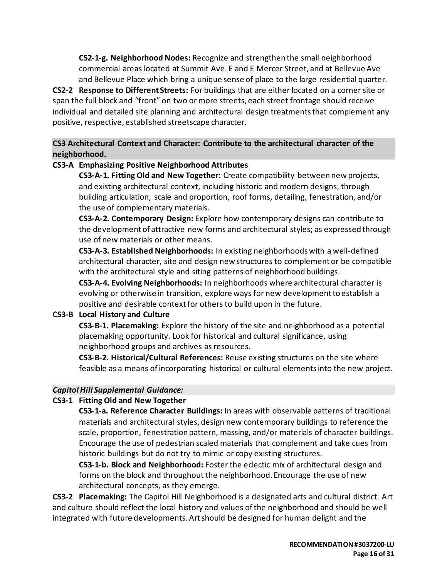**CS2-1-g. Neighborhood Nodes:** Recognize and strengthen the small neighborhood commercial areas located at Summit Ave. E and E Mercer Street, and at Bellevue Ave and Bellevue Place which bring a unique sense of place to the large residential quarter.

**CS2-2 Response to Different Streets:** For buildings that are either located on a corner site or span the full block and "front" on two or more streets, each street frontage should receive individual and detailed site planning and architectural design treatments that complement any positive, respective, established streetscape character.

# **CS3 Architectural Context and Character: Contribute to the architectural character of the neighborhood.**

# **CS3-A Emphasizing Positive Neighborhood Attributes**

**CS3-A-1. Fitting Old and New Together:** Create compatibility between new projects, and existing architectural context, including historic and modern designs, through building articulation, scale and proportion, roof forms, detailing, fenestration, and/or the use of complementary materials.

**CS3-A-2. Contemporary Design:** Explore how contemporary designs can contribute to the development of attractive new forms and architectural styles; as expressed through use of new materials or other means.

**CS3-A-3. Established Neighborhoods:** In existing neighborhoods with a well-defined architectural character, site and design new structures to complement or be compatible with the architectural style and siting patterns of neighborhood buildings.

**CS3-A-4. Evolving Neighborhoods:** In neighborhoods where architectural character is evolving or otherwise in transition, explore ways for new development to establish a positive and desirable context for others to build upon in the future.

# **CS3-B Local History and Culture**

**CS3-B-1. Placemaking:** Explore the history of the site and neighborhood as a potential placemaking opportunity. Look for historical and cultural significance, using neighborhood groups and archives as resources.

**CS3-B-2. Historical/Cultural References:** Reuse existing structures on the site where feasible as a means of incorporating historical or cultural elements into the new project.

# *Capitol Hill Supplemental Guidance:*

# **CS3-1 Fitting Old and New Together**

**CS3-1-a. Reference Character Buildings:** In areas with observable patterns of traditional materials and architectural styles, design new contemporary buildings to reference the scale, proportion, fenestration pattern, massing, and/or materials of character buildings. Encourage the use of pedestrian scaled materials that complement and take cues from historic buildings but do not try to mimic or copy existing structures.

**CS3-1-b. Block and Neighborhood:** Foster the eclectic mix of architectural design and forms on the block and throughout the neighborhood. Encourage the use of new architectural concepts, as they emerge.

**CS3-2 Placemaking:** The Capitol Hill Neighborhood is a designated arts and cultural district. Art and culture should reflect the local history and values of the neighborhood and should be well integrated with future developments. Art should be designed for human delight and the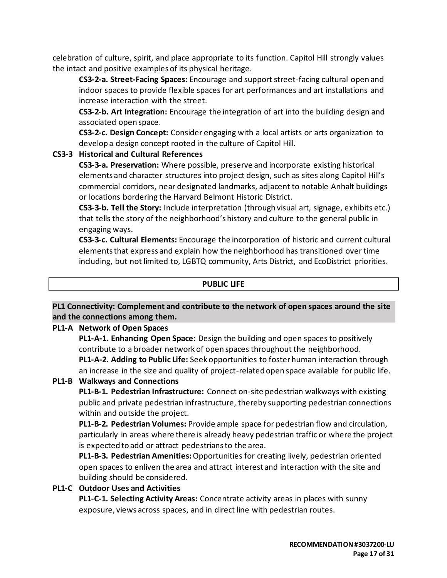celebration of culture, spirit, and place appropriate to its function. Capitol Hill strongly values the intact and positive examples of its physical heritage.

**CS3-2-a. Street-Facing Spaces:** Encourage and support street-facing cultural open and indoor spaces to provide flexible spaces for art performances and art installations and increase interaction with the street.

**CS3-2-b. Art Integration:** Encourage the integration of art into the building design and associated open space.

**CS3-2-c. Design Concept:** Consider engaging with a local artists or arts organization to develop a design concept rooted in the culture of Capitol Hill.

# **CS3-3 Historical and Cultural References**

**CS3-3-a. Preservation:** Where possible, preserve and incorporate existing historical elements and character structures into project design, such as sites along Capitol Hill's commercial corridors, near designated landmarks, adjacent to notable Anhalt buildings or locations bordering the Harvard Belmont Historic District.

**CS3-3-b. Tell the Story:** Include interpretation (through visual art, signage, exhibits etc.) that tells the story of the neighborhood's history and culture to the general public in engaging ways.

**CS3-3-c. Cultural Elements:** Encourage the incorporation of historic and current cultural elements that express and explain how the neighborhood has transitioned over time including, but not limited to, LGBTQ community, Arts District, and EcoDistrict priorities.

#### **PUBLIC LIFE**

# **PL1 Connectivity: Complement and contribute to the network of open spaces around the site and the connections among them.**

# **PL1-A Network of Open Spaces**

**PL1-A-1. Enhancing Open Space:** Design the building and open spaces to positively contribute to a broader network of open spaces throughout the neighborhood. **PL1-A-2. Adding to Public Life:** Seek opportunities to foster human interaction through an increase in the size and quality of project-related open space available for public life.

# **PL1-B Walkways and Connections**

**PL1-B-1. Pedestrian Infrastructure:** Connect on-site pedestrian walkways with existing public and private pedestrian infrastructure, thereby supporting pedestrian connections within and outside the project.

**PL1-B-2. Pedestrian Volumes:** Provide ample space for pedestrian flow and circulation, particularly in areas where there is already heavy pedestrian traffic or where the project is expected to add or attract pedestrians to the area.

**PL1-B-3. Pedestrian Amenities:**Opportunities for creating lively, pedestrian oriented open spaces to enliven the area and attract interest and interaction with the site and building should be considered.

**PL1-C Outdoor Uses and Activities**

**PL1-C-1. Selecting Activity Areas:** Concentrate activity areas in places with sunny exposure, views across spaces, and in direct line with pedestrian routes.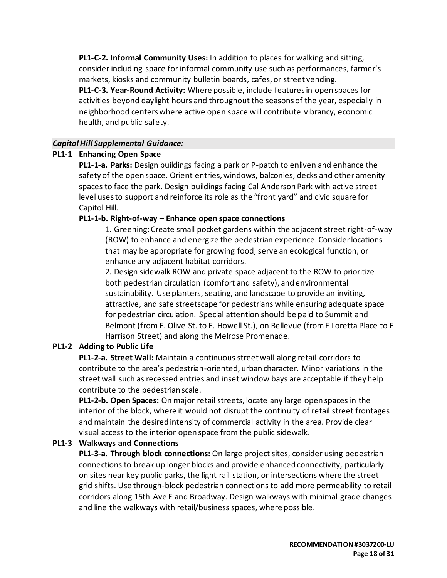**PL1-C-2. Informal Community Uses:** In addition to places for walking and sitting, consider including space for informal community use such as performances, farmer's markets, kiosks and community bulletin boards, cafes, or street vending. **PL1-C-3. Year-Round Activity:** Where possible, include features in open spaces for activities beyond daylight hours and throughout the seasons of the year, especially in neighborhood centers where active open space will contribute vibrancy, economic health, and public safety.

#### *Capitol Hill Supplemental Guidance:*

#### **PL1-1 Enhancing Open Space**

**PL1-1-a. Parks:** Design buildings facing a park or P-patch to enliven and enhance the safety of the open space. Orient entries, windows, balconies, decks and other amenity spaces to face the park. Design buildings facing Cal Anderson Park with active street level uses to support and reinforce its role as the "front yard" and civic square for Capitol Hill.

#### **PL1-1-b. Right-of-way – Enhance open space connections**

1. Greening: Create small pocket gardens within the adjacent street right-of-way (ROW) to enhance and energize the pedestrian experience. Consider locations that may be appropriate for growing food, serve an ecological function, or enhance any adjacent habitat corridors.

2. Design sidewalk ROW and private space adjacent to the ROW to prioritize both pedestrian circulation (comfort and safety), and environmental sustainability. Use planters, seating, and landscape to provide an inviting, attractive, and safe streetscape for pedestrians while ensuring adequate space for pedestrian circulation. Special attention should be paid to Summit and Belmont (from E. Olive St. to E. Howell St.), on Bellevue (from E Loretta Place to E Harrison Street) and along the Melrose Promenade.

# **PL1-2 Adding to Public Life**

**PL1-2-a. Street Wall:** Maintain a continuous street wall along retail corridors to contribute to the area's pedestrian-oriented, urban character. Minor variations in the street wall such as recessed entries and inset window bays are acceptable if they help contribute to the pedestrian scale.

**PL1-2-b. Open Spaces:** On major retail streets, locate any large open spaces in the interior of the block, where it would not disrupt the continuity of retail street frontages and maintain the desired intensity of commercial activity in the area. Provide clear visual access to the interior open space from the public sidewalk.

#### **PL1-3 Walkways and Connections**

**PL1-3-a. Through block connections:** On large project sites, consider using pedestrian connections to break up longer blocks and provide enhanced connectivity, particularly on sites near key public parks, the light rail station, or intersections where the street grid shifts. Use through-block pedestrian connections to add more permeability to retail corridors along 15th Ave E and Broadway. Design walkways with minimal grade changes and line the walkways with retail/business spaces, where possible.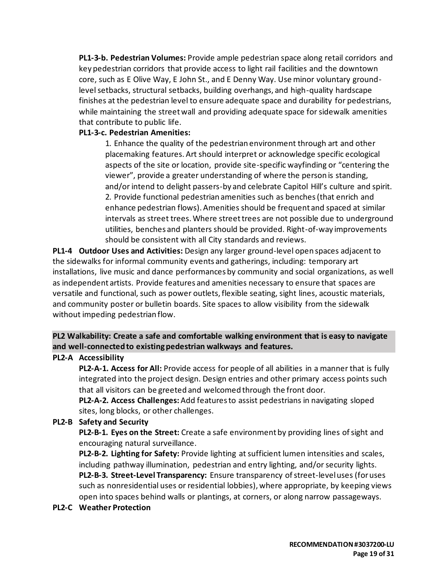**PL1-3-b. Pedestrian Volumes:** Provide ample pedestrian space along retail corridors and key pedestrian corridors that provide access to light rail facilities and the downtown core, such as E Olive Way, E John St., and E Denny Way. Use minor voluntary groundlevel setbacks, structural setbacks, building overhangs, and high-quality hardscape finishes at the pedestrian level to ensure adequate space and durability for pedestrians, while maintaining the street wall and providing adequate space for sidewalk amenities that contribute to public life.

# **PL1-3-c. Pedestrian Amenities:**

1. Enhance the quality of the pedestrian environment through art and other placemaking features. Art should interpret or acknowledge specific ecological aspects of the site or location, provide site-specific wayfinding or "centering the viewer", provide a greater understanding of where the person is standing, and/or intend to delight passers-by and celebrate Capitol Hill's culture and spirit. 2. Provide functional pedestrian amenities such as benches (that enrich and enhance pedestrian flows). Amenities should be frequent and spaced at similar intervals as street trees. Where street trees are not possible due to underground utilities, benches and planters should be provided. Right-of-way improvements should be consistent with all City standards and reviews.

**PL1-4 Outdoor Uses and Activities:** Design any larger ground-level open spaces adjacent to the sidewalks for informal community events and gatherings, including: temporary art installations, live music and dance performances by community and social organizations, as well as independent artists. Provide features and amenities necessary to ensure that spaces are versatile and functional, such as power outlets, flexible seating, sight lines, acoustic materials, and community poster or bulletin boards. Site spaces to allow visibility from the sidewalk without impeding pedestrian flow.

# **PL2 Walkability: Create a safe and comfortable walking environment that is easy to navigate and well-connected to existing pedestrian walkways and features.**

# **PL2-A Accessibility**

**PL2-A-1. Access for All:** Provide access for people of all abilities in a manner that is fully integrated into the project design. Design entries and other primary access points such that all visitors can be greeted and welcomed through the front door.

**PL2-A-2. Access Challenges:**Add features to assist pedestrians in navigating sloped sites, long blocks, or other challenges.

# **PL2-B Safety and Security**

**PL2-B-1. Eyes on the Street:** Create a safe environment by providing lines of sight and encouraging natural surveillance.

**PL2-B-2. Lighting for Safety:** Provide lighting at sufficient lumen intensities and scales, including pathway illumination, pedestrian and entry lighting, and/or security lights. **PL2-B-3. Street-Level Transparency:** Ensure transparency of street-level uses (for uses such as nonresidential uses or residential lobbies), where appropriate, by keeping views open into spaces behind walls or plantings, at corners, or along narrow passageways.

# **PL2-C Weather Protection**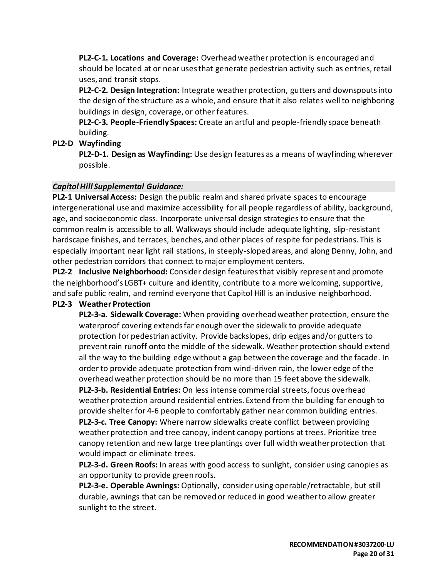**PL2-C-1. Locations and Coverage:** Overhead weather protection is encouraged and should be located at or near uses that generate pedestrian activity such as entries, retail uses, and transit stops.

**PL2-C-2. Design Integration:** Integrate weather protection, gutters and downspouts into the design of the structure as a whole, and ensure that it also relates well to neighboring buildings in design, coverage, or other features.

**PL2-C-3. People-Friendly Spaces:** Create an artful and people-friendly space beneath building.

**PL2-D Wayfinding**

**PL2-D-1. Design as Wayfinding:** Use design features as a means of wayfinding wherever possible.

# *Capitol Hill Supplemental Guidance:*

**PL2-1 Universal Access:** Design the public realm and shared private spaces to encourage intergenerational use and maximize accessibility for all people regardless of ability, background, age, and socioeconomic class. Incorporate universal design strategies to ensure that the common realm is accessible to all. Walkways should include adequate lighting, slip-resistant hardscape finishes, and terraces, benches, and other places of respite for pedestrians. This is especially important near light rail stations, in steeply-sloped areas, and along Denny, John, and other pedestrian corridors that connect to major employment centers.

**PL2-2 Inclusive Neighborhood:** Consider design features that visibly represent and promote the neighborhood's LGBT+ culture and identity, contribute to a more welcoming, supportive, and safe public realm, and remind everyone that Capitol Hill is an inclusive neighborhood.

# **PL2-3 Weather Protection**

**PL2-3-a. Sidewalk Coverage:** When providing overhead weather protection, ensure the waterproof covering extends far enough over the sidewalk to provide adequate protection for pedestrian activity. Provide backslopes, drip edges and/or gutters to prevent rain runoff onto the middle of the sidewalk. Weather protection should extend all the way to the building edge without a gap between the coverage and the facade. In order to provide adequate protection from wind-driven rain, the lower edge of the overhead weather protection should be no more than 15 feet above the sidewalk.

**PL2-3-b. Residential Entries:** On less intense commercial streets, focus overhead weather protection around residential entries. Extend from the building far enough to provide shelter for 4-6 people to comfortably gather near common building entries. **PL2-3-c. Tree Canopy:** Where narrow sidewalks create conflict between providing weather protection and tree canopy, indent canopy portions at trees. Prioritize tree canopy retention and new large tree plantings over full width weather protection that

would impact or eliminate trees.

**PL2-3-d. Green Roofs:** In areas with good access to sunlight, consider using canopies as an opportunity to provide green roofs.

**PL2-3-e. Operable Awnings:** Optionally, consider using operable/retractable, but still durable, awnings that can be removed or reduced in good weather to allow greater sunlight to the street.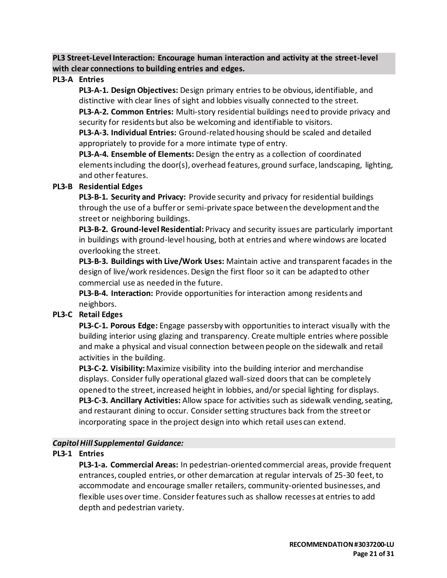**PL3 Street-Level Interaction: Encourage human interaction and activity at the street-level with clear connections to building entries and edges.**

#### **PL3-A Entries**

**PL3-A-1. Design Objectives:** Design primary entries to be obvious, identifiable, and distinctive with clear lines of sight and lobbies visually connected to the street.

**PL3-A-2. Common Entries:** Multi-story residential buildings need to provide privacy and security for residents but also be welcoming and identifiable to visitors.

**PL3-A-3. Individual Entries:** Ground-related housing should be scaled and detailed appropriately to provide for a more intimate type of entry.

**PL3-A-4. Ensemble of Elements:** Design the entry as a collection of coordinated elements including the door(s), overhead features, ground surface, landscaping, lighting, and other features.

#### **PL3-B Residential Edges**

**PL3-B-1. Security and Privacy:** Provide security and privacy for residential buildings through the use of a buffer or semi-private space between the development and the street or neighboring buildings.

**PL3-B-2. Ground-level Residential:** Privacy and security issues are particularly important in buildings with ground-level housing, both at entries and where windows are located overlooking the street.

**PL3-B-3. Buildings with Live/Work Uses:** Maintain active and transparent facades in the design of live/work residences. Design the first floor so it can be adapted to other commercial use as needed in the future.

**PL3-B-4. Interaction:** Provide opportunities for interaction among residents and neighbors.

# **PL3-C Retail Edges**

**PL3-C-1. Porous Edge:** Engage passersby with opportunities to interact visually with the building interior using glazing and transparency. Create multiple entries where possible and make a physical and visual connection between people on the sidewalk and retail activities in the building.

**PL3-C-2. Visibility:**Maximize visibility into the building interior and merchandise displays. Consider fully operational glazed wall-sized doors that can be completely opened to the street, increased height in lobbies, and/or special lighting for displays. **PL3-C-3. Ancillary Activities:** Allow space for activities such as sidewalk vending, seating, and restaurant dining to occur. Consider setting structures back from the street or incorporating space in the project design into which retail uses can extend.

# *Capitol Hill Supplemental Guidance:*

# **PL3-1 Entries**

**PL3-1-a. Commercial Areas:** In pedestrian-oriented commercial areas, provide frequent entrances, coupled entries, or other demarcation at regular intervals of 25-30 feet, to accommodate and encourage smaller retailers, community-oriented businesses, and flexible uses over time. Consider features such as shallow recesses at entries to add depth and pedestrian variety.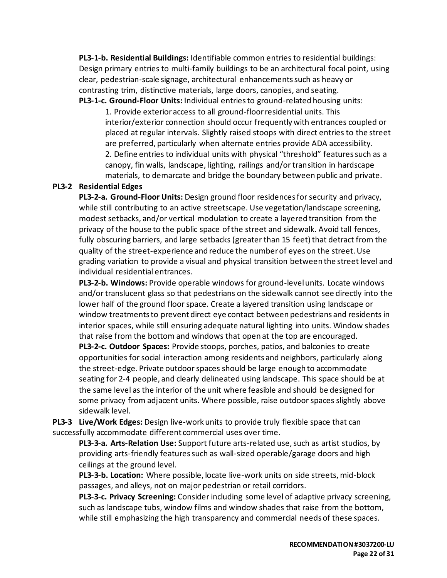**PL3-1-b. Residential Buildings:** Identifiable common entries to residential buildings: Design primary entries to multi-family buildings to be an architectural focal point, using clear, pedestrian-scale signage, architectural enhancements such as heavy or contrasting trim, distinctive materials, large doors, canopies, and seating.

**PL3-1-c. Ground-Floor Units:** Individual entries to ground-related housing units:

1. Provide exterior access to all ground-floor residential units. This interior/exterior connection should occur frequently with entrances coupled or placed at regular intervals. Slightly raised stoops with direct entries to the street are preferred, particularly when alternate entries provide ADA accessibility. 2. Define entries to individual units with physical "threshold" features such as a canopy, fin walls, landscape, lighting, railings and/or transition in hardscape materials, to demarcate and bridge the boundary between public and private.

#### **PL3-2 Residential Edges**

**PL3-2-a. Ground-Floor Units:** Design ground floor residences for security and privacy, while still contributing to an active streetscape. Use vegetation/landscape screening, modest setbacks, and/or vertical modulation to create a layered transition from the privacy of the house to the public space of the street and sidewalk. Avoid tall fences, fully obscuring barriers, and large setbacks (greater than 15 feet) that detract from the quality of the street-experience and reduce the number of eyes on the street. Use grading variation to provide a visual and physical transition between the street level and individual residential entrances.

**PL3-2-b. Windows:** Provide operable windows for ground-level units. Locate windows and/or translucent glass so that pedestrians on the sidewalk cannot see directly into the lower half of the ground floor space. Create a layered transition using landscape or window treatments to prevent direct eye contact between pedestrians and residents in interior spaces, while still ensuring adequate natural lighting into units. Window shades that raise from the bottom and windows that open at the top are encouraged.

**PL3-2-c. Outdoor Spaces:** Provide stoops, porches, patios, and balconies to create opportunities for social interaction among residents and neighbors, particularly along the street-edge. Private outdoor spaces should be large enough to accommodate seating for 2-4 people, and clearly delineated using landscape. This space should be at the same level as the interior of the unit where feasible and should be designed for some privacy from adjacent units. Where possible, raise outdoor spaces slightly above sidewalk level.

**PL3-3 Live/Work Edges:** Design live-work units to provide truly flexible space that can successfully accommodate different commercial uses over time.

**PL3-3-a. Arts-Relation Use:** Support future arts-related use, such as artist studios, by providing arts-friendly features such as wall-sized operable/garage doors and high ceilings at the ground level.

**PL3-3-b. Location:** Where possible, locate live-work units on side streets, mid-block passages, and alleys, not on major pedestrian or retail corridors.

**PL3-3-c. Privacy Screening:** Consider including some level of adaptive privacy screening, such as landscape tubs, window films and window shades that raise from the bottom, while still emphasizing the high transparency and commercial needs of these spaces.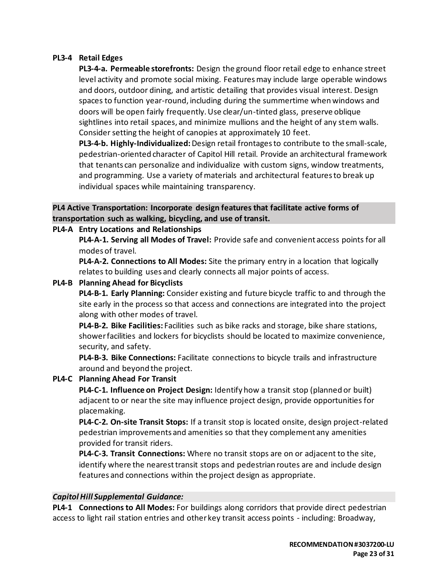#### **PL3-4 Retail Edges**

**PL3-4-a. Permeable storefronts:** Design the ground floor retail edge to enhance street level activity and promote social mixing. Features may include large operable windows and doors, outdoor dining, and artistic detailing that provides visual interest. Design spaces to function year-round, including during the summertime when windows and doors will be open fairly frequently. Use clear/un-tinted glass, preserve oblique sightlines into retail spaces, and minimize mullions and the height of any stem walls. Consider setting the height of canopies at approximately 10 feet.

**PL3-4-b. Highly-Individualized:**Design retail frontages to contribute to the small-scale, pedestrian-oriented character of Capitol Hill retail. Provide an architectural framework that tenants can personalize and individualize with custom signs, window treatments, and programming. Use a variety of materials and architectural features to break up individual spaces while maintaining transparency.

# **PL4 Active Transportation: Incorporate design features that facilitate active forms of transportation such as walking, bicycling, and use of transit.**

#### **PL4-A Entry Locations and Relationships**

**PL4-A-1. Serving all Modes of Travel:** Provide safe and convenient access points for all modes of travel.

**PL4-A-2. Connections to All Modes:** Site the primary entry in a location that logically relates to building uses and clearly connects all major points of access.

#### **PL4-B Planning Ahead for Bicyclists**

**PL4-B-1. Early Planning:** Consider existing and future bicycle traffic to and through the site early in the process so that access and connections are integrated into the project along with other modes of travel.

**PL4-B-2. Bike Facilities:** Facilities such as bike racks and storage, bike share stations, shower facilities and lockers for bicyclists should be located to maximize convenience, security, and safety.

**PL4-B-3. Bike Connections:** Facilitate connections to bicycle trails and infrastructure around and beyond the project.

#### **PL4-C Planning Ahead For Transit**

**PL4-C-1. Influence on Project Design:** Identify how a transit stop (planned or built) adjacent to or near the site may influence project design, provide opportunities for placemaking.

**PL4-C-2. On-site Transit Stops:** If a transit stop is located onsite, design project-related pedestrian improvements and amenities so that they complement any amenities provided for transit riders.

**PL4-C-3. Transit Connections:** Where no transit stops are on or adjacent to the site, identify where the nearest transit stops and pedestrian routes are and include design features and connections within the project design as appropriate.

#### *Capitol Hill Supplemental Guidance:*

**PL4-1 Connections to All Modes:** For buildings along corridors that provide direct pedestrian access to light rail station entries and other key transit access points - including: Broadway,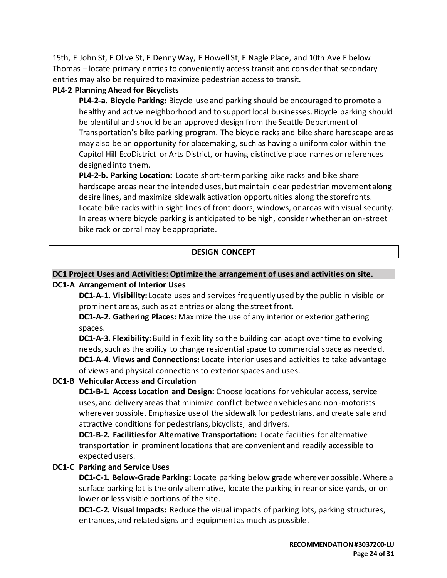15th, E John St, E Olive St, E Denny Way, E Howell St, E Nagle Place, and 10th Ave E below Thomas – locate primary entries to conveniently access transit and consider that secondary entries may also be required to maximize pedestrian access to transit.

### **PL4-2 Planning Ahead for Bicyclists**

**PL4-2-a. Bicycle Parking:** Bicycle use and parking should be encouraged to promote a healthy and active neighborhood and to support local businesses. Bicycle parking should be plentiful and should be an approved design from the Seattle Department of Transportation's bike parking program. The bicycle racks and bike share hardscape areas may also be an opportunity for placemaking, such as having a uniform color within the Capitol Hill EcoDistrict or Arts District, or having distinctive place names or references designed into them.

**PL4-2-b. Parking Location:** Locate short-term parking bike racks and bike share hardscape areas near the intended uses, but maintain clear pedestrian movement along desire lines, and maximize sidewalk activation opportunities along the storefronts. Locate bike racks within sight lines of front doors, windows, or areas with visual security. In areas where bicycle parking is anticipated to be high, consider whether an on-street bike rack or corral may be appropriate.

# **DESIGN CONCEPT**

## **DC1 Project Uses and Activities: Optimize the arrangement of uses and activities on site. DC1-A Arrangement of Interior Uses**

**DC1-A-1. Visibility:** Locate uses and services frequently used by the public in visible or prominent areas, such as at entries or along the street front.

**DC1-A-2. Gathering Places:** Maximize the use of any interior or exterior gathering spaces.

**DC1-A-3. Flexibility:** Build in flexibility so the building can adapt over time to evolving needs, such as the ability to change residential space to commercial space as needed. **DC1-A-4. Views and Connections:** Locate interior uses and activities to take advantage of views and physical connections to exterior spaces and uses.

# **DC1-B Vehicular Access and Circulation**

**DC1-B-1. Access Location and Design:** Choose locations for vehicular access, service uses, and delivery areas that minimize conflict between vehicles and non-motorists wherever possible. Emphasize use of the sidewalk for pedestrians, and create safe and attractive conditions for pedestrians, bicyclists, and drivers.

**DC1-B-2. Facilities for Alternative Transportation:** Locate facilities for alternative transportation in prominent locations that are convenient and readily accessible to expected users.

#### **DC1-C Parking and Service Uses**

**DC1-C-1. Below-Grade Parking:** Locate parking below grade wherever possible. Where a surface parking lot is the only alternative, locate the parking in rear or side yards, or on lower or less visible portions of the site.

**DC1-C-2. Visual Impacts:** Reduce the visual impacts of parking lots, parking structures, entrances, and related signs and equipment as much as possible.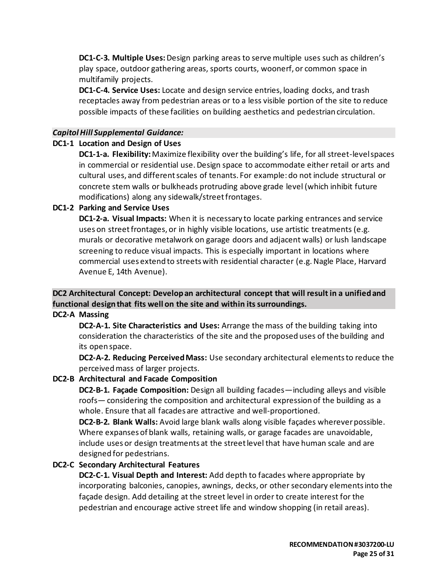**DC1-C-3. Multiple Uses:** Design parking areas to serve multiple uses such as children's play space, outdoor gathering areas, sports courts, woonerf, or common space in multifamily projects.

**DC1-C-4. Service Uses:** Locate and design service entries, loading docks, and trash receptacles away from pedestrian areas or to a less visible portion of the site to reduce possible impacts of these facilities on building aesthetics and pedestrian circulation.

#### *Capitol Hill Supplemental Guidance:*

#### **DC1-1 Location and Design of Uses**

**DC1-1-a. Flexibility:**Maximize flexibility over the building's life, for all street-level spaces in commercial or residential use. Design space to accommodate either retail or arts and cultural uses, and different scales of tenants. For example: do not include structural or concrete stem walls or bulkheads protruding above grade level (which inhibit future modifications) along any sidewalk/street frontages.

#### **DC1-2 Parking and Service Uses**

**DC1-2-a. Visual Impacts:** When it is necessary to locate parking entrances and service uses on street frontages, or in highly visible locations, use artistic treatments (e.g. murals or decorative metalwork on garage doors and adjacent walls) or lush landscape screening to reduce visual impacts. This is especially important in locations where commercial uses extend to streets with residential character (e.g. Nagle Place, Harvard Avenue E, 14th Avenue).

# **DC2 Architectural Concept: Develop an architectural concept that will result in a unified and functional design that fits well on the site and within its surroundings.**

# **DC2-A Massing**

**DC2-A-1. Site Characteristics and Uses:** Arrange the mass of the building taking into consideration the characteristics of the site and the proposed uses of the building and its open space.

**DC2-A-2. Reducing Perceived Mass:** Use secondary architectural elements to reduce the perceived mass of larger projects.

# **DC2-B Architectural and Facade Composition**

**DC2-B-1. Façade Composition:** Design all building facades—including alleys and visible roofs— considering the composition and architectural expression of the building as a whole. Ensure that all facades are attractive and well-proportioned.

**DC2-B-2. Blank Walls:** Avoid large blank walls along visible façades wherever possible. Where expanses of blank walls, retaining walls, or garage facades are unavoidable, include uses or design treatments at the street level that have human scale and are designed for pedestrians.

# **DC2-C Secondary Architectural Features**

**DC2-C-1. Visual Depth and Interest:** Add depth to facades where appropriate by incorporating balconies, canopies, awnings, decks, or other secondary elements into the façade design. Add detailing at the street level in order to create interest for the pedestrian and encourage active street life and window shopping (in retail areas).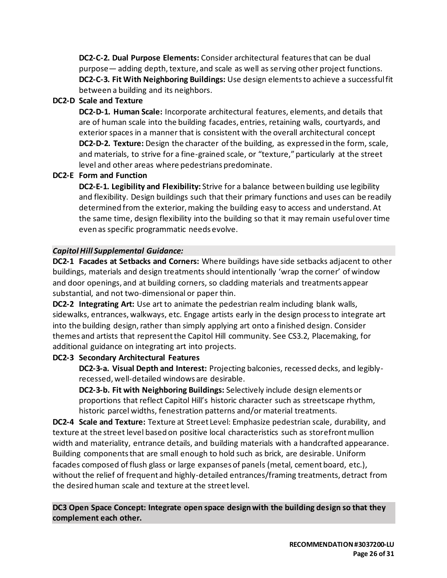**DC2-C-2. Dual Purpose Elements:** Consider architectural features that can be dual purpose— adding depth, texture, and scale as well as serving other project functions. **DC2-C-3. Fit With Neighboring Buildings:** Use design elements to achieve a successful fit between a building and its neighbors.

# **DC2-D Scale and Texture**

**DC2-D-1. Human Scale:** Incorporate architectural features, elements, and details that are of human scale into the building facades, entries, retaining walls, courtyards, and exterior spaces in a manner that is consistent with the overall architectural concept **DC2-D-2. Texture:** Design the character of the building, as expressed in the form, scale, and materials, to strive for a fine-grained scale, or "texture," particularly at the street level and other areas where pedestrians predominate.

# **DC2-E Form and Function**

**DC2-E-1. Legibility and Flexibility:** Strive for a balance between building use legibility and flexibility. Design buildings such that their primary functions and uses can be readily determined from the exterior, making the building easy to access and understand. At the same time, design flexibility into the building so that it may remain useful over time even as specific programmatic needs evolve.

# *Capitol Hill Supplemental Guidance:*

**DC2-1 Facades at Setbacks and Corners:** Where buildings have side setbacks adjacent to other buildings, materials and design treatments should intentionally 'wrap the corner' of window and door openings, and at building corners, so cladding materials and treatments appear substantial, and not two-dimensional or paper thin.

**DC2-2 Integrating Art:** Use art to animate the pedestrian realm including blank walls, sidewalks, entrances, walkways, etc. Engage artists early in the design process to integrate art into the building design, rather than simply applying art onto a finished design. Consider themes and artists that represent the Capitol Hill community. See CS3.2, Placemaking, for additional guidance on integrating art into projects.

# **DC2-3 Secondary Architectural Features**

**DC2-3-a. Visual Depth and Interest:** Projecting balconies, recessed decks, and legiblyrecessed, well-detailed windows are desirable.

**DC2-3-b. Fit with Neighboring Buildings:** Selectively include design elements or proportions that reflect Capitol Hill's historic character such as streetscape rhythm, historic parcel widths, fenestration patterns and/or material treatments.

**DC2-4 Scale and Texture:** Texture at Street Level: Emphasize pedestrian scale, durability, and texture at the street level based on positive local characteristics such as storefront mullion width and materiality, entrance details, and building materials with a handcrafted appearance. Building components that are small enough to hold such as brick, are desirable. Uniform facades composed of flush glass or large expanses of panels (metal, cement board, etc.), without the relief of frequent and highly-detailed entrances/framing treatments, detract from the desired human scale and texture at the street level.

**DC3 Open Space Concept: Integrate open space design with the building design so that they complement each other.**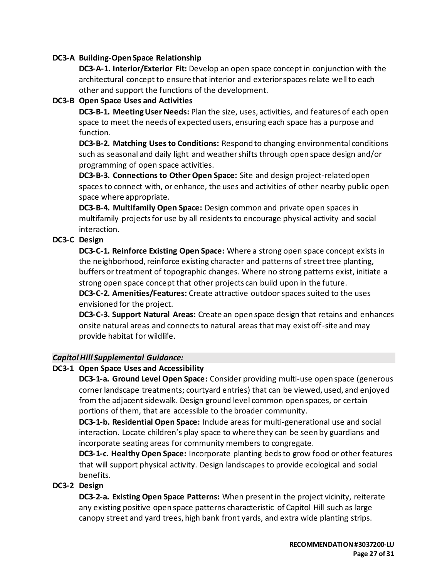### **DC3-A Building-Open Space Relationship**

**DC3-A-1. Interior/Exterior Fit:** Develop an open space concept in conjunction with the architectural concept to ensure that interior and exterior spaces relate well to each other and support the functions of the development.

#### **DC3-B Open Space Uses and Activities**

**DC3-B-1. Meeting User Needs:** Plan the size, uses, activities, and features of each open space to meet the needs of expected users, ensuring each space has a purpose and function.

**DC3-B-2. Matching Uses to Conditions:** Respond to changing environmental conditions such as seasonal and daily light and weather shifts through open space design and/or programming of open space activities.

**DC3-B-3. Connections to Other Open Space:** Site and design project-related open spaces to connect with, or enhance, the uses and activities of other nearby public open space where appropriate.

**DC3-B-4. Multifamily Open Space:** Design common and private open spaces in multifamily projects for use by all residents to encourage physical activity and social interaction.

# **DC3-C Design**

**DC3-C-1. Reinforce Existing Open Space:** Where a strong open space concept exists in the neighborhood, reinforce existing character and patterns of street tree planting, buffers or treatment of topographic changes. Where no strong patterns exist, initiate a strong open space concept that other projects can build upon in the future.

**DC3-C-2. Amenities/Features:** Create attractive outdoor spaces suited to the uses envisioned for the project.

**DC3-C-3. Support Natural Areas:** Create an open space design that retains and enhances onsite natural areas and connects to natural areas that may exist off-site and may provide habitat for wildlife.

#### *Capitol Hill Supplemental Guidance:*

#### **DC3-1 Open Space Uses and Accessibility**

**DC3-1-a. Ground Level Open Space:** Consider providing multi-use open space (generous corner landscape treatments; courtyard entries) that can be viewed, used, and enjoyed from the adjacent sidewalk. Design ground level common open spaces, or certain portions of them, that are accessible to the broader community.

**DC3-1-b. Residential Open Space:** Include areas for multi-generational use and social interaction. Locate children's play space to where they can be seen by guardians and incorporate seating areas for community members to congregate.

**DC3-1-c. Healthy Open Space:** Incorporate planting beds to grow food or other features that will support physical activity. Design landscapes to provide ecological and social benefits.

# **DC3-2 Design**

**DC3-2-a. Existing Open Space Patterns:** When present in the project vicinity, reiterate any existing positive open space patterns characteristic of Capitol Hill such as large canopy street and yard trees, high bank front yards, and extra wide planting strips.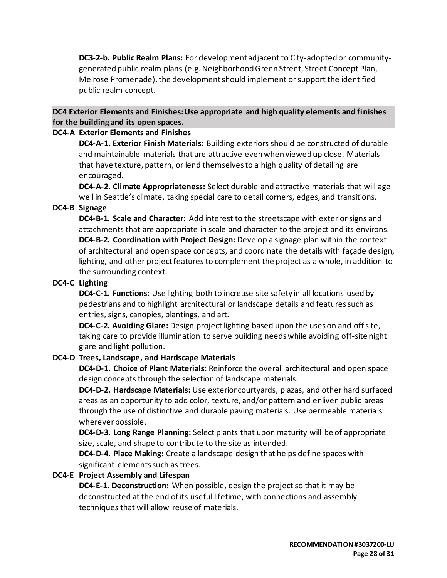**DC3-2-b. Public Realm Plans:** For development adjacent to City-adopted or communitygenerated public realm plans (e.g. Neighborhood Green Street, Street Concept Plan, Melrose Promenade), the development should implement or support the identified public realm concept.

#### **DC4 Exterior Elements and Finishes: Use appropriate and high quality elements and finishes for the building and its open spaces.**

#### **DC4-A Exterior Elements and Finishes**

**DC4-A-1. Exterior Finish Materials:** Building exteriors should be constructed of durable and maintainable materials that are attractive even when viewed up close. Materials that have texture, pattern, or lend themselves to a high quality of detailing are encouraged.

**DC4-A-2. Climate Appropriateness:** Select durable and attractive materials that will age well in Seattle's climate, taking special care to detail corners, edges, and transitions.

#### **DC4-B Signage**

**DC4-B-1. Scale and Character:** Add interest to the streetscape with exterior signs and attachments that are appropriate in scale and character to the project and its environs. **DC4-B-2. Coordination with Project Design:** Develop a signage plan within the context of architectural and open space concepts, and coordinate the details with façade design, lighting, and other project features to complement the project as a whole, in addition to the surrounding context.

#### **DC4-C Lighting**

**DC4-C-1. Functions:** Use lighting both to increase site safety in all locations used by pedestrians and to highlight architectural or landscape details and features such as entries, signs, canopies, plantings, and art.

**DC4-C-2. Avoiding Glare:** Design project lighting based upon the uses on and off site, taking care to provide illumination to serve building needs while avoiding off-site night glare and light pollution.

#### **DC4-D Trees, Landscape, and Hardscape Materials**

**DC4-D-1. Choice of Plant Materials:** Reinforce the overall architectural and open space design concepts through the selection of landscape materials.

**DC4-D-2. Hardscape Materials:** Use exterior courtyards, plazas, and other hard surfaced areas as an opportunity to add color, texture, and/or pattern and enliven public areas through the use of distinctive and durable paving materials. Use permeable materials wherever possible.

**DC4-D-3. Long Range Planning:** Select plants that upon maturity will be of appropriate size, scale, and shape to contribute to the site as intended.

**DC4-D-4. Place Making:** Create a landscape design that helps define spaces with significant elements such as trees.

# **DC4-E Project Assembly and Lifespan**

**DC4-E-1. Deconstruction:** When possible, design the project so that it may be deconstructed at the end of its useful lifetime, with connections and assembly techniques that will allow reuse of materials.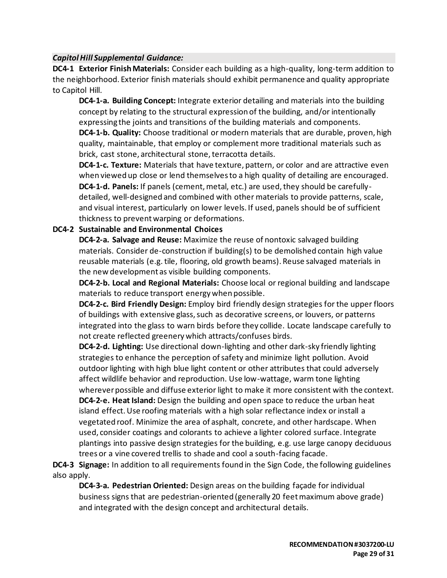### *Capitol Hill Supplemental Guidance:*

**DC4-1 Exterior Finish Materials:** Consider each building as a high-quality, long-term addition to the neighborhood. Exterior finish materials should exhibit permanence and quality appropriate to Capitol Hill.

**DC4-1-a. Building Concept:** Integrate exterior detailing and materials into the building concept by relating to the structural expression of the building, and/or intentionally expressing the joints and transitions of the building materials and components.

**DC4-1-b. Quality:** Choose traditional or modern materials that are durable, proven, high quality, maintainable, that employ or complement more traditional materials such as brick, cast stone, architectural stone, terracotta details.

**DC4-1-c. Texture:** Materials that have texture, pattern, or color and are attractive even when viewed up close or lend themselves to a high quality of detailing are encouraged. **DC4-1-d. Panels:** If panels (cement, metal, etc.) are used, they should be carefullydetailed, well-designed and combined with other materials to provide patterns, scale, and visual interest, particularly on lower levels. If used, panels should be of sufficient thickness to prevent warping or deformations.

#### **DC4-2 Sustainable and Environmental Choices**

**DC4-2-a. Salvage and Reuse:** Maximize the reuse of nontoxic salvaged building materials. Consider de-construction if building(s) to be demolished contain high value reusable materials (e.g.tile, flooring, old growth beams). Reuse salvaged materials in the new development as visible building components.

**DC4-2-b. Local and Regional Materials:** Choose local or regional building and landscape materials to reduce transport energy when possible.

**DC4-2-c. Bird Friendly Design:** Employ bird friendly design strategies for the upper floors of buildings with extensive glass, such as decorative screens, or louvers, or patterns integrated into the glass to warn birds before they collide. Locate landscape carefully to not create reflected greenery which attracts/confuses birds.

**DC4-2-d. Lighting:** Use directional down-lighting and other dark-sky friendly lighting strategies to enhance the perception of safety and minimize light pollution. Avoid outdoor lighting with high blue light content or other attributes that could adversely affect wildlife behavior and reproduction. Use low-wattage, warm tone lighting wherever possible and diffuse exterior light to make it more consistent with the context. **DC4-2-e. Heat Island:** Design the building and open space to reduce the urban heat island effect. Use roofing materials with a high solar reflectance index or install a vegetated roof. Minimize the area of asphalt, concrete, and other hardscape. When used, consider coatings and colorants to achieve a lighter colored surface. Integrate plantings into passive design strategies for the building, e.g. use large canopy deciduous trees or a vine covered trellis to shade and cool a south-facing facade.

**DC4-3 Signage:** In addition to all requirements found in the Sign Code, the following guidelines also apply.

**DC4-3-a. Pedestrian Oriented:** Design areas on the building façade for individual business signs that are pedestrian-oriented (generally 20 feet maximum above grade) and integrated with the design concept and architectural details.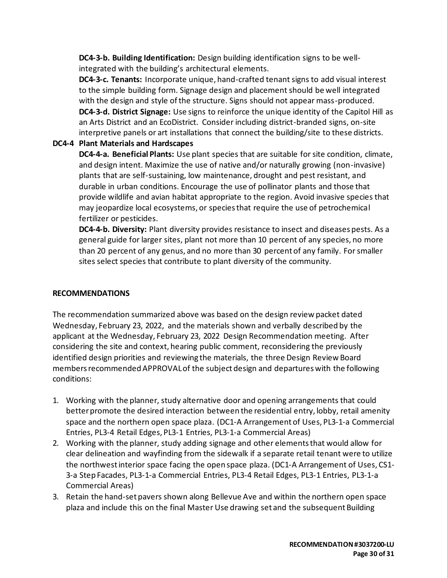**DC4-3-b. Building Identification:** Design building identification signs to be wellintegrated with the building's architectural elements.

**DC4-3-c. Tenants:** Incorporate unique, hand-crafted tenant signs to add visual interest to the simple building form. Signage design and placement should be well integrated with the design and style of the structure. Signs should not appear mass-produced. **DC4-3-d. District Signage:** Use signs to reinforce the unique identity of the Capitol Hill as an Arts District and an EcoDistrict. Consider including district-branded signs, on-site interpretive panels or art installations that connect the building/site to these districts.

# **DC4-4 Plant Materials and Hardscapes**

**DC4-4-a. Beneficial Plants:** Use plant species that are suitable for site condition, climate, and design intent. Maximize the use of native and/or naturally growing (non-invasive) plants that are self-sustaining, low maintenance, drought and pest resistant, and durable in urban conditions. Encourage the use of pollinator plants and those that provide wildlife and avian habitat appropriate to the region. Avoid invasive species that may jeopardize local ecosystems, or species that require the use of petrochemical fertilizer or pesticides.

**DC4-4-b. Diversity:** Plant diversity provides resistance to insect and diseases pests. As a general guide for larger sites, plant not more than 10 percent of any species, no more than 20 percent of any genus, and no more than 30 percent of any family. For smaller sites select species that contribute to plant diversity of the community.

# **RECOMMENDATIONS**

The recommendation summarized above was based on the design review packet dated Wednesday, February 23, 2022, and the materials shown and verbally described by the applicant at the Wednesday, February 23, 2022 Design Recommendation meeting. After considering the site and context, hearing public comment, reconsidering the previously identified design priorities and reviewing the materials, the three Design Review Board members recommended APPROVAL of the subject design and departures with the following conditions:

- 1. Working with the planner, study alternative door and opening arrangements that could better promote the desired interaction between the residential entry, lobby, retail amenity space and the northern open space plaza. (DC1-A Arrangement of Uses, PL3-1-a Commercial Entries, PL3-4 Retail Edges, PL3-1 Entries, PL3-1-a Commercial Areas)
- 2. Working with the planner, study adding signage and other elements that would allow for clear delineation and wayfinding from the sidewalk if a separate retail tenant were to utilize the northwest interior space facing the open space plaza. (DC1-A Arrangement of Uses, CS1- 3-a Step Facades, PL3-1-a Commercial Entries, PL3-4 Retail Edges, PL3-1 Entries, PL3-1-a Commercial Areas)
- 3. Retain the hand-set pavers shown along Bellevue Ave and within the northern open space plaza and include this on the final Master Use drawing set and the subsequent Building